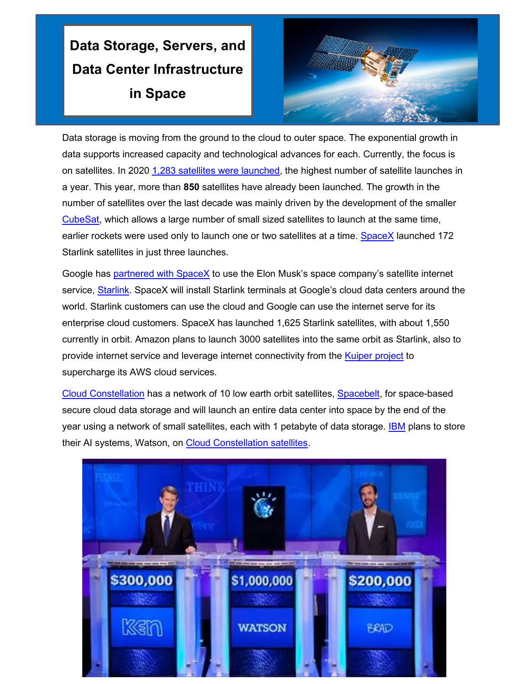## **Data Storage, Servers, and Data Center Infrastructure in Space**



Data storage is moving from the ground to the cloud to outer space. The exponential growth in data supports increased capacity and technological advances for each. Currently, the focus is on satellites. In 2020 [1,283 satellites were launched,](https://www.geospatialworld.net/blogs/how-many-satellites-are-orbiting-the-earth-in-2021/) the highest number of satellite launches in a year. This year, more than **850** satellites have already been launched. The growth in the number of satellites over the last decade was mainly driven by the development of the smaller [CubeSat,](https://en.wikipedia.org/wiki/CubeSat) which allows a large number of small sized satellites to launch at the same time, earlier rockets were used only to launch one or two satellites at a time. [SpaceX](https://www.spacex.com/) launched 172 Starlink satellites in just three launches.

Google has [partnered with SpaceX](https://www.theverge.com/2021/5/13/22433982/elon-musk-spacex-internet-connectivity-deal-google-cloud) to use the Elon Musk's space company's satellite internet service, [Starlink.](https://www.starlink.com/) SpaceX will install Starlink terminals at Google's cloud data centers around the world. Starlink customers can use the cloud and Google can use the internet serve for its enterprise cloud customers. SpaceX has launched 1,625 Starlink satellites, with about 1,550 currently in orbit. Amazon plans to launch 3000 satellites into the same orbit as Starlink, also to provide internet service and leverage internet connectivity from the **Kuiper project** to supercharge its AWS cloud services.

[Cloud Constellation](https://www.linkedin.com/company/cloud-constellation-corporation/?report.success=KJ_KkFGTDCfMt-A7wV3Fn9Yvgwr02Kd6AZHGx4bQCDiP6-2rfP2oxyVoEQiPrcAQ7Bf) has a network of 10 low earth orbit satellites, [Spacebelt,](https://spacebelt.com/) for space-based secure cloud data storage and will launch an entire data center into space by the end of the year using a network of small satellites, each with 1 petabyte of data storage. **IBM** plans to store their AI systems, Watson, on [Cloud Constellation satellites.](https://www.ozy.com/the-new-and-the-next/the-next-way-to-stop-climate-change-storing-data-in-space/94906/)